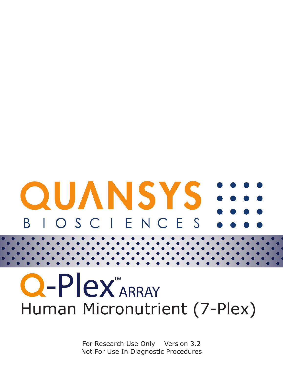# **OUANSYS** IOSCIENCES R.

# $O-Plex_{APRAY}$ Human Micronutrient (7-Plex)

For Research Use Only Version 3.2 Not For Use In Diagnostic Procedures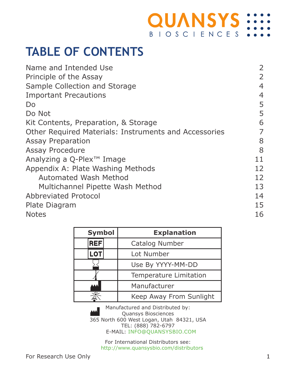#### **QUANSYS: BIOSCIENCES**

### **TABLE OF CONTENTS**

| Name and Intended Use                                 | 2  |
|-------------------------------------------------------|----|
| Principle of the Assay                                | 2  |
| Sample Collection and Storage                         | 4  |
| <b>Important Precautions</b>                          | 4  |
| Do                                                    | 5  |
| Do Not                                                | 5  |
| Kit Contents, Preparation, & Storage                  | 6  |
| Other Required Materials: Instruments and Accessories | 7  |
| <b>Assay Preparation</b>                              | 8  |
| Assay Procedure                                       | 8  |
| Analyzing a Q-Plex <sup>™</sup> Image                 | 11 |
| Appendix A: Plate Washing Methods                     | 12 |
| Automated Wash Method                                 | 12 |
| Multichannel Pipette Wash Method                      | 13 |
| <b>Abbreviated Protocol</b>                           | 14 |
| Plate Diagram                                         | 15 |
| <b>Notes</b>                                          | 16 |
|                                                       |    |

| Symbol     | <b>Explanation</b>      |  |
|------------|-------------------------|--|
| <b>REF</b> | Catalog Number          |  |
| <b>LOT</b> | Lot Number              |  |
|            | Use By YYYY-MM-DD       |  |
|            | Temperature Limitation  |  |
|            | Manufacturer            |  |
|            | Keep Away From Sunlight |  |

Manufactured and Distributed by: Quansys Biosciences 365 North 600 West Logan, Utah 84321, USA TEL: (888) 782-6797 E-MAIL: INFO@QUANSYSBIO.COM

> For International Distributors see: http://www.quansysbio.com/distributors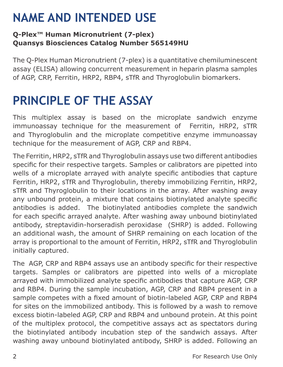### **NAME AND INTENDED USE**

#### **Q-Plex™ Human Micronutrient (7-plex) Quansys Biosciences Catalog Number 565149HU**

The Q-Plex Human Micronutrient (7-plex) is a quantitative chemiluminescent assay (ELISA) allowing concurrent measurement in heparin plasma samples of AGP, CRP, Ferritin, HRP2, RBP4, sTfR and Thyroglobulin biomarkers.

#### **PRINCIPLE OF THE ASSAY**

This multiplex assay is based on the microplate sandwich enzyme immunoassay technique for the measurement of Ferritin, HRP2, sTfR and Thyroglobulin and the microplate competitive enzyme immunoassay technique for the measurement of AGP, CRP and RBP4.

The Ferritin, HRP2, sTfR and Thyroglobulin assays use two different antibodies specific for their respective targets. Samples or calibrators are pipetted into wells of a microplate arrayed with analyte specific antibodies that capture Ferritin, HRP2, sTfR and Thyroglobulin, thereby immobilizing Ferritin, HRP2, sTfR and Thyroglobulin to their locations in the array. After washing away any unbound protein, a mixture that contains biotinylated analyte specific antibodies is added. The biotinylated antibodies complete the sandwich for each specific arrayed analyte. After washing away unbound biotinylated antibody, streptavidin-horseradish peroxidase (SHRP) is added. Following an additional wash, the amount of SHRP remaining on each location of the array is proportional to the amount of Ferritin, HRP2, sTfR and Thyroglobulin initially captured.

The AGP, CRP and RBP4 assays use an antibody specific for their respective targets. Samples or calibrators are pipetted into wells of a microplate arrayed with immobilized analyte specific antibodies that capture AGP, CRP and RBP4. During the sample incubation, AGP, CRP and RBP4 present in a sample competes with a fixed amount of biotin-labeled AGP, CRP and RBP4 for sites on the immobilized antibody. This is followed by a wash to remove excess biotin-labeled AGP, CRP and RBP4 and unbound protein. At this point of the multiplex protocol, the competitive assays act as spectators during the biotinylated antibody incubation step of the sandwich assays. After washing away unbound biotinylated antibody, SHRP is added. Following an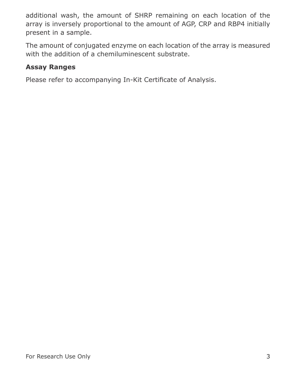additional wash, the amount of SHRP remaining on each location of the array is inversely proportional to the amount of AGP, CRP and RBP4 initially present in a sample.

The amount of conjugated enzyme on each location of the array is measured with the addition of a chemiluminescent substrate.

#### **Assay Ranges**

Please refer to accompanying In-Kit Certificate of Analysis.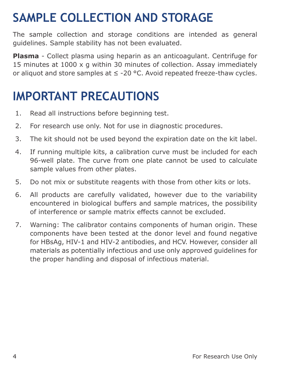## **SAMPLE COLLECTION AND STORAGE**

The sample collection and storage conditions are intended as general guidelines. Sample stability has not been evaluated.

**Plasma** - Collect plasma using heparin as an anticoagulant. Centrifuge for 15 minutes at 1000 x g within 30 minutes of collection. Assay immediately or aliquot and store samples at  $\leq$  -20 °C. Avoid repeated freeze-thaw cycles.

#### **IMPORTANT PRECAUTIONS**

- 1. Read all instructions before beginning test.
- 2. For research use only. Not for use in diagnostic procedures.
- 3. The kit should not be used beyond the expiration date on the kit label.
- 4. If running multiple kits, a calibration curve must be included for each 96-well plate. The curve from one plate cannot be used to calculate sample values from other plates.
- 5. Do not mix or substitute reagents with those from other kits or lots.
- 6. All products are carefully validated, however due to the variability encountered in biological buffers and sample matrices, the possibility of interference or sample matrix effects cannot be excluded.
- 7. Warning: The calibrator contains components of human origin. These components have been tested at the donor level and found negative for HBsAg, HIV-1 and HIV-2 antibodies, and HCV. However, consider all materials as potentially infectious and use only approved guidelines for the proper handling and disposal of infectious material.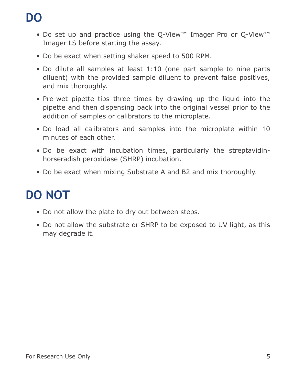## **DO**

- Do set up and practice using the Q-View™ Imager Pro or Q-View™ Imager LS before starting the assay.
- Do be exact when setting shaker speed to 500 RPM.
- Do dilute all samples at least 1:10 (one part sample to nine parts diluent) with the provided sample diluent to prevent false positives, and mix thoroughly.
- Pre-wet pipette tips three times by drawing up the liquid into the pipette and then dispensing back into the original vessel prior to the addition of samples or calibrators to the microplate.
- Do load all calibrators and samples into the microplate within 10 minutes of each other.
- Do be exact with incubation times, particularly the streptavidinhorseradish peroxidase (SHRP) incubation.
- Do be exact when mixing Substrate A and B2 and mix thoroughly.

## **DO NOT**

- Do not allow the plate to dry out between steps.
- Do not allow the substrate or SHRP to be exposed to UV light, as this may degrade it.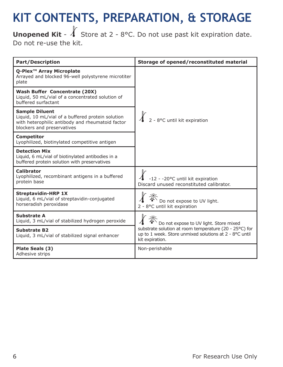## **KIT CONTENTS, PREPARATION, & STORAGE**

**Unopened Kit** -  $\sqrt{\ }$  Store at 2 - 8°C. Do not use past kit expiration date. Do not re-use the kit.

| <b>Part/Description</b>                                                                                                                                      | Storage of opened/reconstituted material                                                                                                                                      |  |
|--------------------------------------------------------------------------------------------------------------------------------------------------------------|-------------------------------------------------------------------------------------------------------------------------------------------------------------------------------|--|
| Q-Plex <sup>™</sup> Array Microplate<br>Arrayed and blocked 96-well polystyrene microtiter<br>plate                                                          | $\int_{0}^{\infty}$ 2 - 8°C until kit expiration                                                                                                                              |  |
| Wash Buffer Concentrate (20X)<br>Liquid, 50 mL/vial of a concentrated solution of<br>buffered surfactant                                                     |                                                                                                                                                                               |  |
| <b>Sample Diluent</b><br>Liquid, 10 mL/vial of a buffered protein solution<br>with heterophilic antibody and rheumatoid factor<br>blockers and preservatives |                                                                                                                                                                               |  |
| <b>Competitor</b><br>Lyophilized, biotinylated competitive antigen                                                                                           |                                                                                                                                                                               |  |
| <b>Detection Mix</b><br>Liquid, 6 mL/vial of biotinylated antibodies in a<br>buffered protein solution with preservatives                                    |                                                                                                                                                                               |  |
| <b>Calibrator</b><br>Lyophilized, recombinant antigens in a buffered<br>protein base                                                                         | -12 - -20°C until kit expiration<br>Discard unused reconstituted calibrator.                                                                                                  |  |
| <b>Streptavidin-HRP 1X</b><br>Liquid, 6 mL/vial of streptavidin-conjugated<br>horseradish peroxidase                                                         | Do not expose to UV light.<br>2 - 8°C until kit expiration                                                                                                                    |  |
| Substrate A<br>Liquid, 3 mL/vial of stabilized hydrogen peroxide                                                                                             | Do not expose to UV light. Store mixed<br>substrate solution at room temperature (20 - 25°C) for<br>up to 1 week. Store unmixed solutions at 2 - 8°C until<br>kit expiration. |  |
| <b>Substrate B2</b><br>Liquid, 3 mL/vial of stabilized signal enhancer                                                                                       |                                                                                                                                                                               |  |
| Plate Seals (3)<br>Adhesive strips                                                                                                                           | Non-perishable                                                                                                                                                                |  |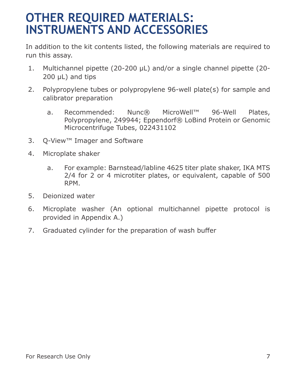#### **OTHER REQUIRED MATERIALS: INSTRUMENTS AND ACCESSORIES**

In addition to the kit contents listed, the following materials are required to run this assay.

- 1. Multichannel pipette (20-200 μL) and/or a single channel pipette (20- 200 μL) and tips
- 2. Polypropylene tubes or polypropylene 96-well plate(s) for sample and calibrator preparation
	- a. Recommended: Nunc® MicroWell™ 96-Well Plates, Polypropylene, 249944; Eppendorf® LoBind Protein or Genomic Microcentrifuge Tubes, 022431102
- 3. Q-View™ Imager and Software
- 4. Microplate shaker
	- a. For example: Barnstead/labline 4625 titer plate shaker, IKA MTS 2/4 for 2 or 4 microtiter plates, or equivalent, capable of 500 RPM.
- 5. Deionized water
- 6. Microplate washer (An optional multichannel pipette protocol is provided in Appendix A.)
- 7. Graduated cylinder for the preparation of wash buffer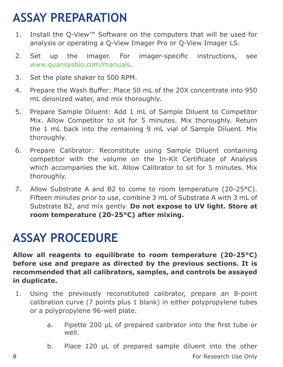### **ASSAY PREPARATION**

- 1. Install the Q-View™ Software on the computers that will be used for analysis or operating a Q-View Imager Pro or Q-View Imager LS.
- 2. Set up the imager. For imager-specific instructions, see www.quansysbio.com/manuals.
- 3. Set the plate shaker to 500 RPM.
- 4. Prepare the Wash Buffer: Place 50 mL of the 20X concentrate into 950 mL deionized water, and mix thoroughly.
- 5. Prepare Sample Diluent: Add 1 mL of Sample Diluent to Competitor Mix. Allow Competitor to sit for 5 minutes. Mix thoroughly. Return the 1 mL back into the remaining 9 mL vial of Sample Diluent. Mix thoroughly.
- 6. Prepare Calibrator: Reconstitute using Sample Diluent containing competitor with the volume on the In-Kit Certificate of Analysis which accompanies the kit. Allow Calibrator to sit for 5 minutes. Mix thoroughly.
- 7. Allow Substrate A and B2 to come to room temperature (20-25°C). Fifteen minutes prior to use, combine 3 mL of Substrate A with 3 mL of Substrate B2, and mix gently. **Do not expose to UV light. Store at room temperature (20-25°C) after mixing.**

#### **ASSAY PROCEDURE**

**Allow all reagents to equilibrate to room temperature (20-25°C) before use and prepare as directed by the previous sections. It is recommended that all calibrators, samples, and controls be assayed in duplicate.**

- 1. Using the previously reconstituted calibrator, prepare an 8-point calibration curve (7 points plus 1 blank) in either polypropylene tubes or a polypropylene 96-well plate.
	- a. Pipette 200 μL of prepared calibrator into the first tube or well.
- 8 **8 Box 100 For Research Use Only 6 For Research Use Only** b. Place 120 μL of prepared sample diluent into the other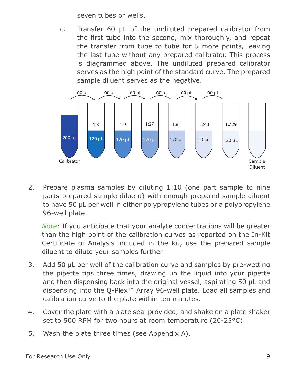seven tubes or wells.

c. Transfer 60 μL of the undiluted prepared calibrator from the first tube into the second, mix thoroughly, and repeat the transfer from tube to tube for 5 more points, leaving the last tube without any prepared calibrator. This process is diagrammed above. The undiluted prepared calibrator serves as the high point of the standard curve. The prepared sample diluent serves as the negative.



2. Prepare plasma samples by diluting 1:10 (one part sample to nine parts prepared sample diluent) with enough prepared sample diluent to have 50 μL per well in either polypropylene tubes or a polypropylene 96-well plate.

*Note:* If you anticipate that your analyte concentrations will be greater than the high point of the calibration curves as reported on the In-Kit Certificate of Analysis included in the kit, use the prepared sample diluent to dilute your samples further.

- 3. Add 50 μL per well of the calibration curve and samples by pre-wetting the pipette tips three times, drawing up the liquid into your pipette and then dispensing back into the original vessel, aspirating 50 μL and dispensing into the Q-Plex™ Array 96-well plate. Load all samples and calibration curve to the plate within ten minutes.
- 4. Cover the plate with a plate seal provided, and shake on a plate shaker set to 500 RPM for two hours at room temperature (20-25°C).
- 5. Wash the plate three times (see Appendix A).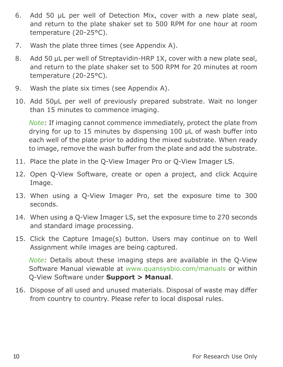- 6. Add 50 μL per well of Detection Mix, cover with a new plate seal, and return to the plate shaker set to 500 RPM for one hour at room temperature (20-25°C).
- 7. Wash the plate three times (see Appendix A).
- 8. Add 50 µL per well of Streptavidin-HRP 1X, cover with a new plate seal, and return to the plate shaker set to 500 RPM for 20 minutes at room temperature (20-25°C).
- 9. Wash the plate six times (see Appendix A).
- 10. Add 50μL per well of previously prepared substrate. Wait no longer than 15 minutes to commence imaging.

*Note:* If imaging cannot commence immediately, protect the plate from drying for up to 15 minutes by dispensing 100 μL of wash buffer into each well of the plate prior to adding the mixed substrate. When ready to image, remove the wash buffer from the plate and add the substrate.

- 11. Place the plate in the Q-View Imager Pro or Q-View Imager LS.
- 12. Open Q-View Software, create or open a project, and click Acquire Image.
- 13. When using a Q-View Imager Pro, set the exposure time to 300 seconds.
- 14. When using a Q-View Imager LS, set the exposure time to 270 seconds and standard image processing.
- 15. Click the Capture Image(s) button. Users may continue on to Well Assignment while images are being captured.

*Note:* Details about these imaging steps are available in the Q-View Software Manual viewable at www.quansysbio.com/manuals or within Q-View Software under **Support > Manual**.

16. Dispose of all used and unused materials. Disposal of waste may differ from country to country. Please refer to local disposal rules.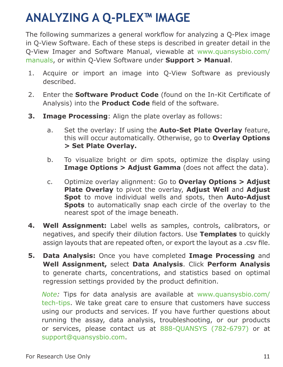#### **ANALYZING A Q-PLEX™ IMAGE**

The following summarizes a general workflow for analyzing a Q-Plex image in Q-View Software. Each of these steps is described in greater detail in the Q-View Imager and Software Manual, viewable at www.quansysbio.com/ manuals, or within Q-View Software under **Support > Manual**.

- 1. Acquire or import an image into Q-View Software as previously described.
- 2. Enter the **Software Product Code** (found on the In-Kit Certificate of Analysis) into the **Product Code** field of the software.
- **3. Image Processing**: Align the plate overlay as follows:
	- a. Set the overlay: If using the **Auto-Set Plate Overlay** feature, this will occur automatically. Otherwise, go to **Overlay Options > Set Plate Overlay.**
	- b. To visualize bright or dim spots, optimize the display using **Image Options > Adjust Gamma** (does not affect the data).
	- c. Optimize overlay alignment: Go to **Overlay Options > Adjust Plate Overlay** to pivot the overlay, **Adjust Well** and **Adjust Spot** to move individual wells and spots, then **Auto-Adjust Spots** to automatically snap each circle of the overlay to the nearest spot of the image beneath.
- **4. Well Assignment:** Label wells as samples, controls, calibrators, or negatives, and specify their dilution factors. Use **Templates** to quickly assign layouts that are repeated often, or export the layout as a .csv file.
- **5. Data Analysis:** Once you have completed **Image Processing** and **Well Assignment,** select **Data Analysis**. Click **Perform Analysis** to generate charts, concentrations, and statistics based on optimal regression settings provided by the product definition.

*Note:* Tips for data analysis are available at www.quansysbio.com/ tech-tips. We take great care to ensure that customers have success using our products and services. If you have further questions about running the assay, data analysis, troubleshooting, or our products or services, please contact us at 888-QUANSYS (782-6797) or at support@quansysbio.com.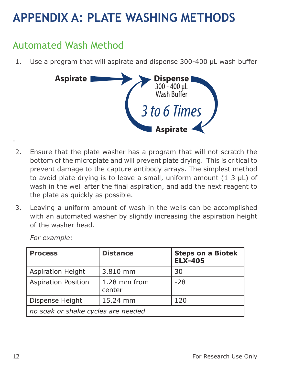#### **APPENDIX A: PLATE WASHING METHODS**

#### Automated Wash Method

1. Use a program that will aspirate and dispense 300-400 μL wash buffer



- 2. Ensure that the plate washer has a program that will not scratch the bottom of the microplate and will prevent plate drying. This is critical to prevent damage to the capture antibody arrays. The simplest method to avoid plate drying is to leave a small, uniform amount (1-3 μL) of wash in the well after the final aspiration, and add the next reagent to the plate as quickly as possible.
- 3. Leaving a uniform amount of wash in the wells can be accomplished with an automated washer by slightly increasing the aspiration height of the washer head.

| <b>Process</b>                     | <b>Distance</b>          | <b>Steps on a Biotek</b><br><b>ELX-405</b> |  |
|------------------------------------|--------------------------|--------------------------------------------|--|
| Aspiration Height                  | 3.810 mm                 | 30                                         |  |
| <b>Aspiration Position</b>         | $1.28$ mm from<br>center | $-28$                                      |  |
| Dispense Height                    | 15.24 mm                 | 120                                        |  |
| no soak or shake cycles are needed |                          |                                            |  |

*For example:*

.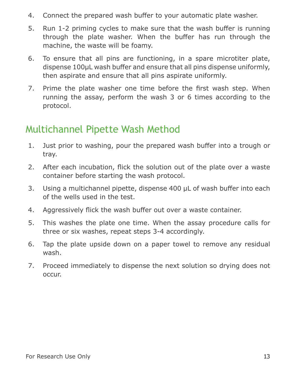- 4. Connect the prepared wash buffer to your automatic plate washer.
- 5. Run 1-2 priming cycles to make sure that the wash buffer is running through the plate washer. When the buffer has run through the machine, the waste will be foamy.
- 6. To ensure that all pins are functioning, in a spare microtiter plate, dispense 100μL wash buffer and ensure that all pins dispense uniformly, then aspirate and ensure that all pins aspirate uniformly.
- 7. Prime the plate washer one time before the first wash step. When running the assay, perform the wash 3 or 6 times according to the protocol.

#### Multichannel Pipette Wash Method

- 1. Just prior to washing, pour the prepared wash buffer into a trough or tray.
- 2. After each incubation, flick the solution out of the plate over a waste container before starting the wash protocol.
- 3. Using a multichannel pipette, dispense 400 μL of wash buffer into each of the wells used in the test.
- 4. Aggressively flick the wash buffer out over a waste container.
- 5. This washes the plate one time. When the assay procedure calls for three or six washes, repeat steps 3-4 accordingly.
- 6. Tap the plate upside down on a paper towel to remove any residual wash.
- 7. Proceed immediately to dispense the next solution so drying does not occur.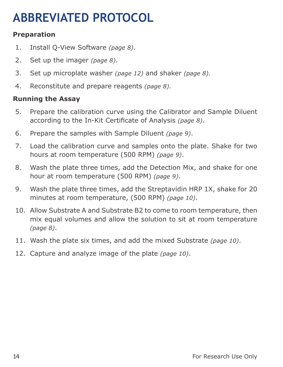### **ABBREVIATED PROTOCOL**

#### **Preparation**

- 1. Install Q-View Software *(page 8)*.
- 2. Set up the imager *(page 8)*.
- 3. Set up microplate washer *(page 12)* and shaker *(page 8).*
- 4. Reconstitute and prepare reagents *(page 8).*

#### **Running the Assay**

- 5. Prepare the calibration curve using the Calibrator and Sample Diluent according to the In-Kit Certificate of Analysis *(page 8)*.
- 6. Prepare the samples with Sample Diluent *(page 9)*.
- 7. Load the calibration curve and samples onto the plate. Shake for two hours at room temperature (500 RPM) *(page 9)*.
- 8. Wash the plate three times, add the Detection Mix, and shake for one hour at room temperature (500 RPM) *(page 9)*.
- 9. Wash the plate three times, add the Streptavidin HRP 1X, shake for 20 minutes at room temperature, (500 RPM) *(page 10)*.
- 10. Allow Substrate A and Substrate B2 to come to room temperature, then mix equal volumes and allow the solution to sit at room temperature *(page 8)*.
- 11. Wash the plate six times, and add the mixed Substrate *(page 10)*.
- 12. Capture and analyze image of the plate *(page 10)*.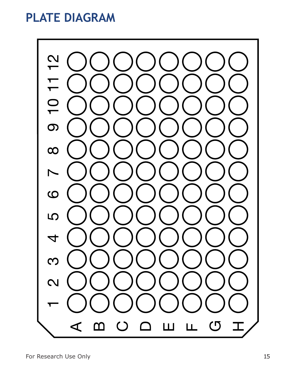#### **PLATE DIAGRAM**

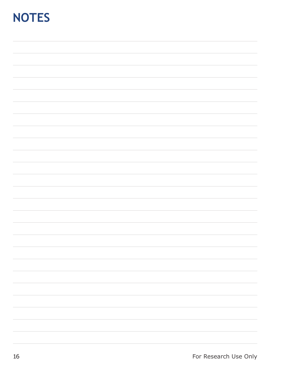#### **NOTES**